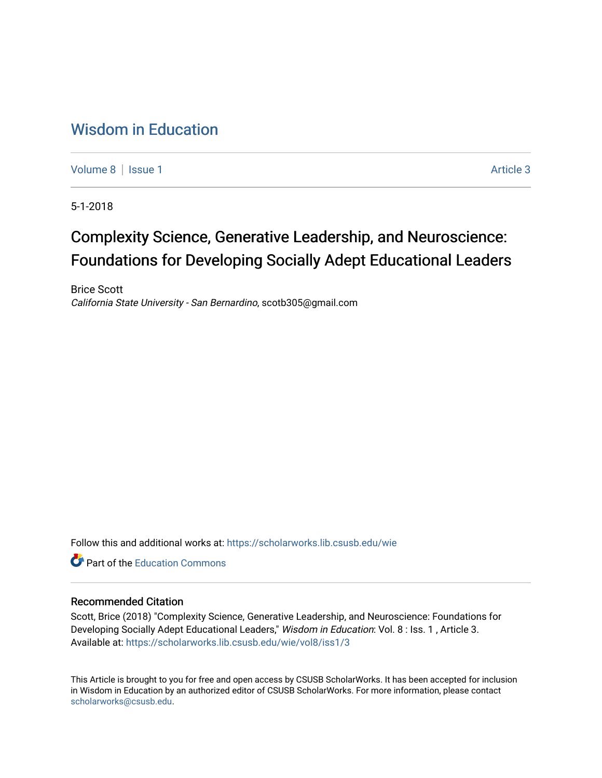## [Wisdom in Education](https://scholarworks.lib.csusb.edu/wie)

[Volume 8](https://scholarworks.lib.csusb.edu/wie/vol8) | [Issue 1](https://scholarworks.lib.csusb.edu/wie/vol8/iss1) Article 3

5-1-2018

# Complexity Science, Generative Leadership, and Neuroscience: Foundations for Developing Socially Adept Educational Leaders

Brice Scott California State University - San Bernardino, scotb305@gmail.com

Follow this and additional works at: [https://scholarworks.lib.csusb.edu/wie](https://scholarworks.lib.csusb.edu/wie?utm_source=scholarworks.lib.csusb.edu%2Fwie%2Fvol8%2Fiss1%2F3&utm_medium=PDF&utm_campaign=PDFCoverPages) 

**C** Part of the [Education Commons](http://network.bepress.com/hgg/discipline/784?utm_source=scholarworks.lib.csusb.edu%2Fwie%2Fvol8%2Fiss1%2F3&utm_medium=PDF&utm_campaign=PDFCoverPages)

#### Recommended Citation

Scott, Brice (2018) "Complexity Science, Generative Leadership, and Neuroscience: Foundations for Developing Socially Adept Educational Leaders," Wisdom in Education: Vol. 8 : Iss. 1, Article 3. Available at: [https://scholarworks.lib.csusb.edu/wie/vol8/iss1/3](https://scholarworks.lib.csusb.edu/wie/vol8/iss1/3?utm_source=scholarworks.lib.csusb.edu%2Fwie%2Fvol8%2Fiss1%2F3&utm_medium=PDF&utm_campaign=PDFCoverPages) 

This Article is brought to you for free and open access by CSUSB ScholarWorks. It has been accepted for inclusion in Wisdom in Education by an authorized editor of CSUSB ScholarWorks. For more information, please contact [scholarworks@csusb.edu](mailto:scholarworks@csusb.edu).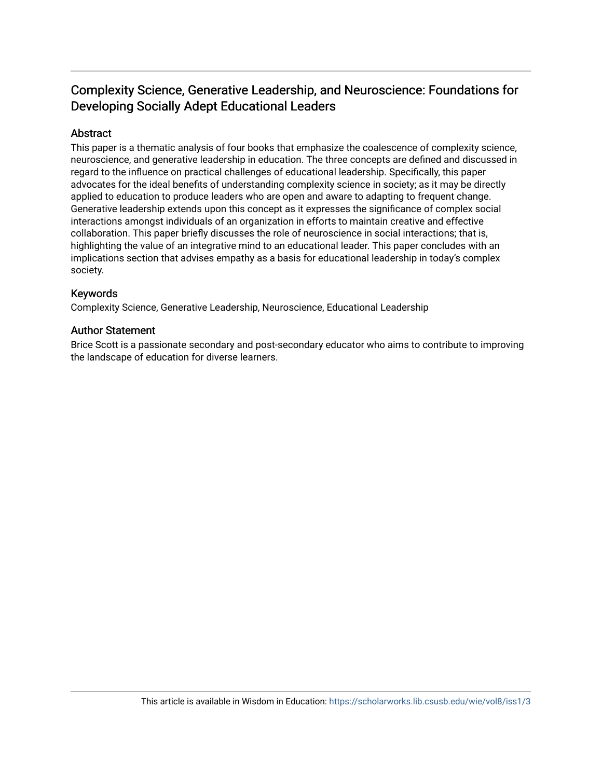### Complexity Science, Generative Leadership, and Neuroscience: Foundations for Developing Socially Adept Educational Leaders

#### Abstract

This paper is a thematic analysis of four books that emphasize the coalescence of complexity science, neuroscience, and generative leadership in education. The three concepts are defined and discussed in regard to the influence on practical challenges of educational leadership. Specifically, this paper advocates for the ideal benefits of understanding complexity science in society; as it may be directly applied to education to produce leaders who are open and aware to adapting to frequent change. Generative leadership extends upon this concept as it expresses the significance of complex social interactions amongst individuals of an organization in efforts to maintain creative and effective collaboration. This paper briefly discusses the role of neuroscience in social interactions; that is, highlighting the value of an integrative mind to an educational leader. This paper concludes with an implications section that advises empathy as a basis for educational leadership in today's complex society.

#### Keywords

Complexity Science, Generative Leadership, Neuroscience, Educational Leadership

#### Author Statement

Brice Scott is a passionate secondary and post-secondary educator who aims to contribute to improving the landscape of education for diverse learners.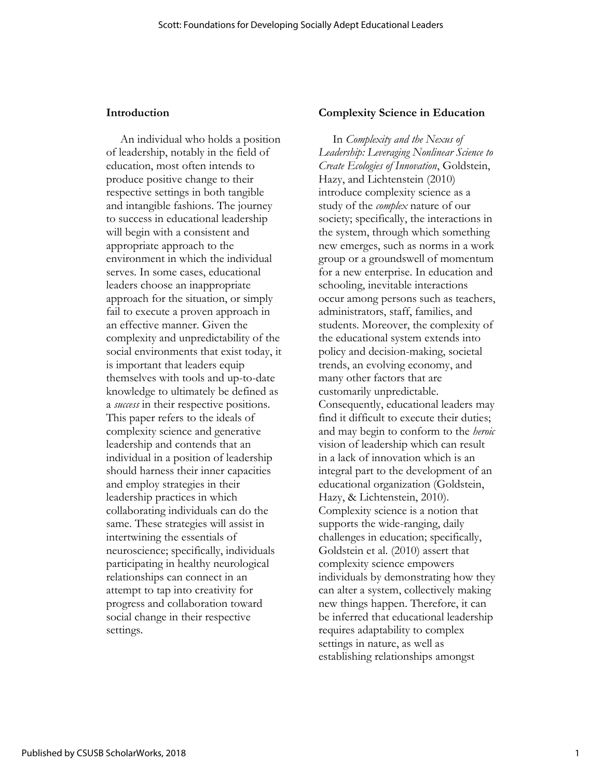#### **Introduction**

An individual who holds a position of leadership, notably in the field of education, most often intends to produce positive change to their respective settings in both tangible and intangible fashions. The journey to success in educational leadership will begin with a consistent and appropriate approach to the environment in which the individual serves. In some cases, educational leaders choose an inappropriate approach for the situation, or simply fail to execute a proven approach in an effective manner. Given the complexity and unpredictability of the social environments that exist today, it is important that leaders equip themselves with tools and up-to-date knowledge to ultimately be defined as a *success* in their respective positions. This paper refers to the ideals of complexity science and generative leadership and contends that an individual in a position of leadership should harness their inner capacities and employ strategies in their leadership practices in which collaborating individuals can do the same. These strategies will assist in intertwining the essentials of neuroscience; specifically, individuals participating in healthy neurological relationships can connect in an attempt to tap into creativity for progress and collaboration toward social change in their respective settings.

#### **Complexity Science in Education**

In *Complexity and the Nexus of Leadership: Leveraging Nonlinear Science to Create Ecologies of Innovation*, Goldstein, Hazy, and Lichtenstein (2010) introduce complexity science as a study of the *complex* nature of our society; specifically, the interactions in the system, through which something new emerges, such as norms in a work group or a groundswell of momentum for a new enterprise. In education and schooling, inevitable interactions occur among persons such as teachers, administrators, staff, families, and students. Moreover, the complexity of the educational system extends into policy and decision-making, societal trends, an evolving economy, and many other factors that are customarily unpredictable. Consequently, educational leaders may find it difficult to execute their duties; and may begin to conform to the *heroic* vision of leadership which can result in a lack of innovation which is an integral part to the development of an educational organization (Goldstein, Hazy, & Lichtenstein, 2010). Complexity science is a notion that supports the wide-ranging, daily challenges in education; specifically, Goldstein et al. (2010) assert that complexity science empowers individuals by demonstrating how they can alter a system, collectively making new things happen. Therefore, it can be inferred that educational leadership requires adaptability to complex settings in nature, as well as establishing relationships amongst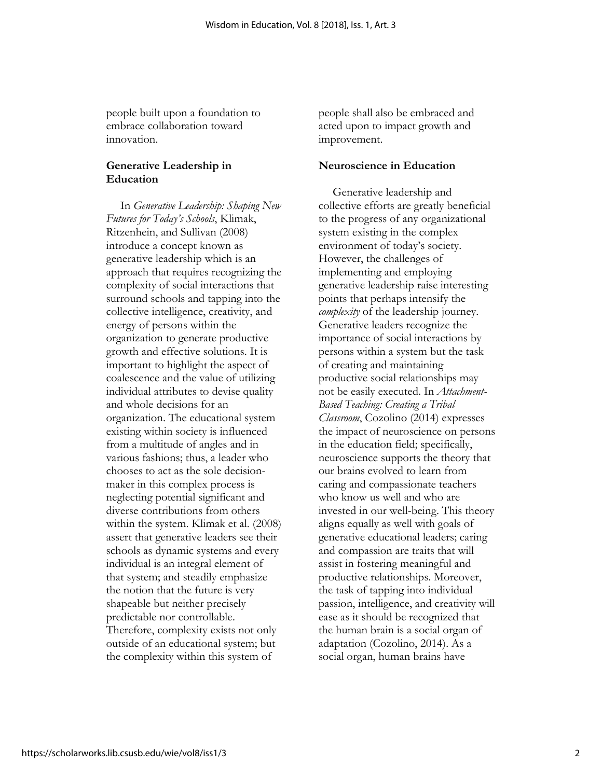people built upon a foundation to embrace collaboration toward innovation.

#### **Generative Leadership in Education**

In *Generative Leadership: Shaping New Futures for Today's Schools*, Klimak, Ritzenhein, and Sullivan (2008) introduce a concept known as generative leadership which is an approach that requires recognizing the complexity of social interactions that surround schools and tapping into the collective intelligence, creativity, and energy of persons within the organization to generate productive growth and effective solutions. It is important to highlight the aspect of coalescence and the value of utilizing individual attributes to devise quality and whole decisions for an organization. The educational system existing within society is influenced from a multitude of angles and in various fashions; thus, a leader who chooses to act as the sole decisionmaker in this complex process is neglecting potential significant and diverse contributions from others within the system. Klimak et al. (2008) assert that generative leaders see their schools as dynamic systems and every individual is an integral element of that system; and steadily emphasize the notion that the future is very shapeable but neither precisely predictable nor controllable. Therefore, complexity exists not only outside of an educational system; but the complexity within this system of

people shall also be embraced and acted upon to impact growth and improvement.

#### **Neuroscience in Education**

Generative leadership and collective efforts are greatly beneficial to the progress of any organizational system existing in the complex environment of today's society. However, the challenges of implementing and employing generative leadership raise interesting points that perhaps intensify the *complexity* of the leadership journey. Generative leaders recognize the importance of social interactions by persons within a system but the task of creating and maintaining productive social relationships may not be easily executed. In *Attachment-Based Teaching: Creating a Tribal Classroom*, Cozolino (2014) expresses the impact of neuroscience on persons in the education field; specifically, neuroscience supports the theory that our brains evolved to learn from caring and compassionate teachers who know us well and who are invested in our well-being. This theory aligns equally as well with goals of generative educational leaders; caring and compassion are traits that will assist in fostering meaningful and productive relationships. Moreover, the task of tapping into individual passion, intelligence, and creativity will ease as it should be recognized that the human brain is a social organ of adaptation (Cozolino, 2014). As a social organ, human brains have